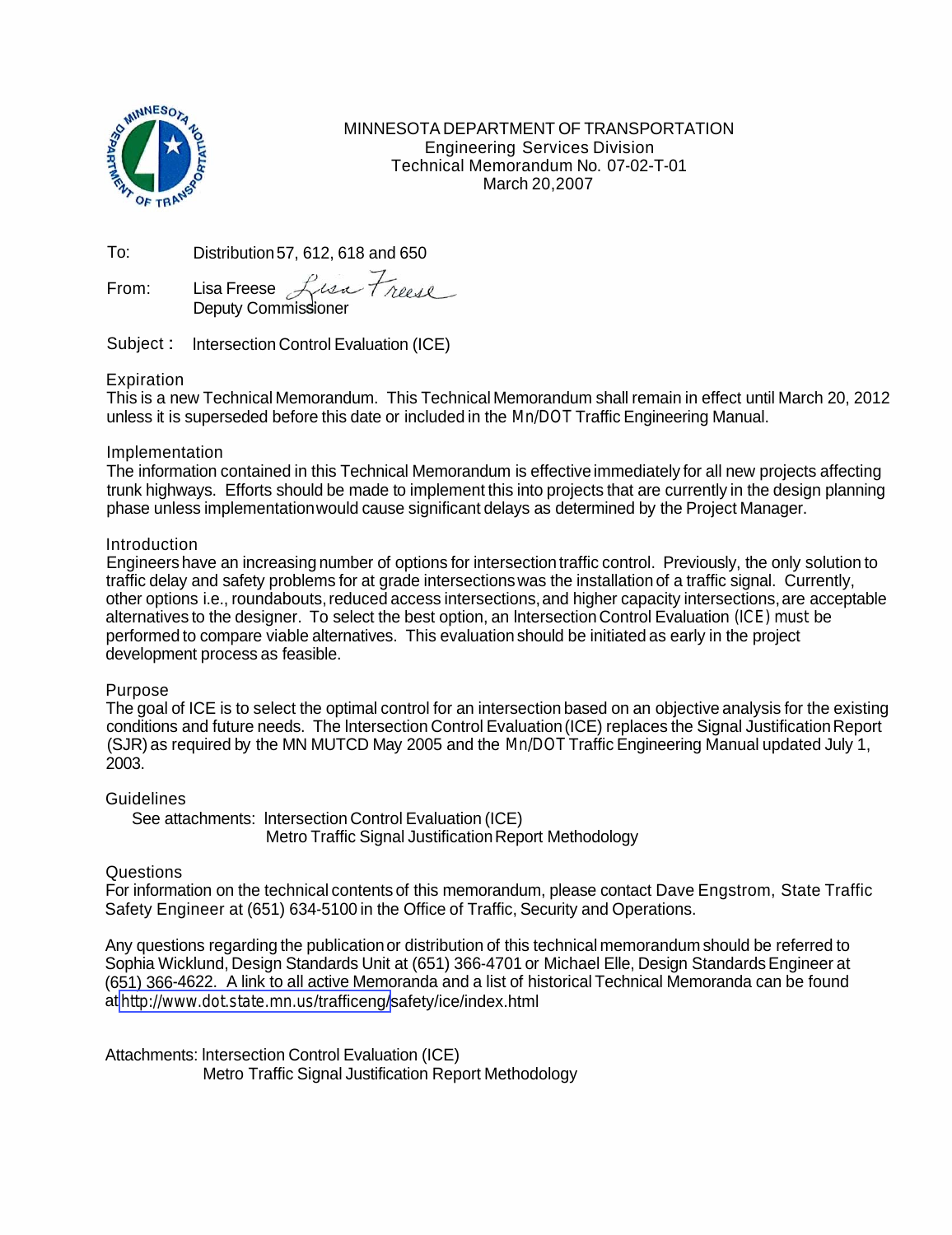

MINNESOTA DEPARTMENT OF TRANSPORTATION Engineering Services Division Technical Memorandum No. 07-02-T-01 March 20,2007

To: Distribution 57, 612, 618 and 650

To: Distribution 57, 612, 618 and (<br>From: Lisa Freese *Ruse Tru*<br>Deputy Commissioner

Subject : lntersection Control Evaluation (ICE)

# **Expiration**

This is a new Technical Memorandum. This Technical Memorandum shall remain in effect until March 20, 2012 unless it is superseded before this date or included in the Mn/DOT Traffic Engineering Manual.

# Implementation

The information contained in this Technical Memorandum is effective immediately for all new projects affecting trunk highways. Efforts should be made to implement this into projects that are currently in the design planning phase unless implementation would cause significant delays as determined by the Project Manager.

# **Introduction**

Engineers have an increasing number of options for intersection traffic control. Previously, the only solution to traffic delay and safety problems for at grade intersections was the installation of a traffic signal. Currently, other options i.e., roundabouts, reduced access intersections, and higher capacity intersections, are acceptable alternatives to the designer. To select the best option, an lntersection Control Evaluation (ICE) must be performed to compare viable alternatives. This evaluation should be initiated as early in the project development process as feasible.

# Purpose

The goal of ICE is to select the optimal control for an intersection based on an objective analysis for the existing conditions and future needs. The lntersection Control Evaluation (ICE) replaces the Signal Justification Report (SJR) as required by the MN MUTCD May 2005 and the Mn/DOT Traffic Engineering Manual updated July 1, 2003.

# **Guidelines**

See attachments: lntersection Control Evaluation (ICE) Metro Traffic Signal Justification Report Methodology

# Questions

For information on the technical contents of this memorandum, please contact Dave Engstrom, State Traffic Safety Engineer at (651) 634-5100 in the Office of Traffic, Security and Operations.

Any questions regarding the publication or distribution of this technical memorandum should be referred to Sophia Wicklund, Design Standards Unit at (651) 366-4701 or Michael Elle, Design Standards Engineer at (651) 366-4622. A link to all active Memoranda and a list of historical Technical Memoranda can be found at [http://www.dot.state.mn.us](http://www.dot.state.mn.us/atoz.html#TUV)/trafficeng/safety/ice/index.html

Attachments: lntersection Control Evaluation (ICE) Metro Traffic Signal Justification Report Methodology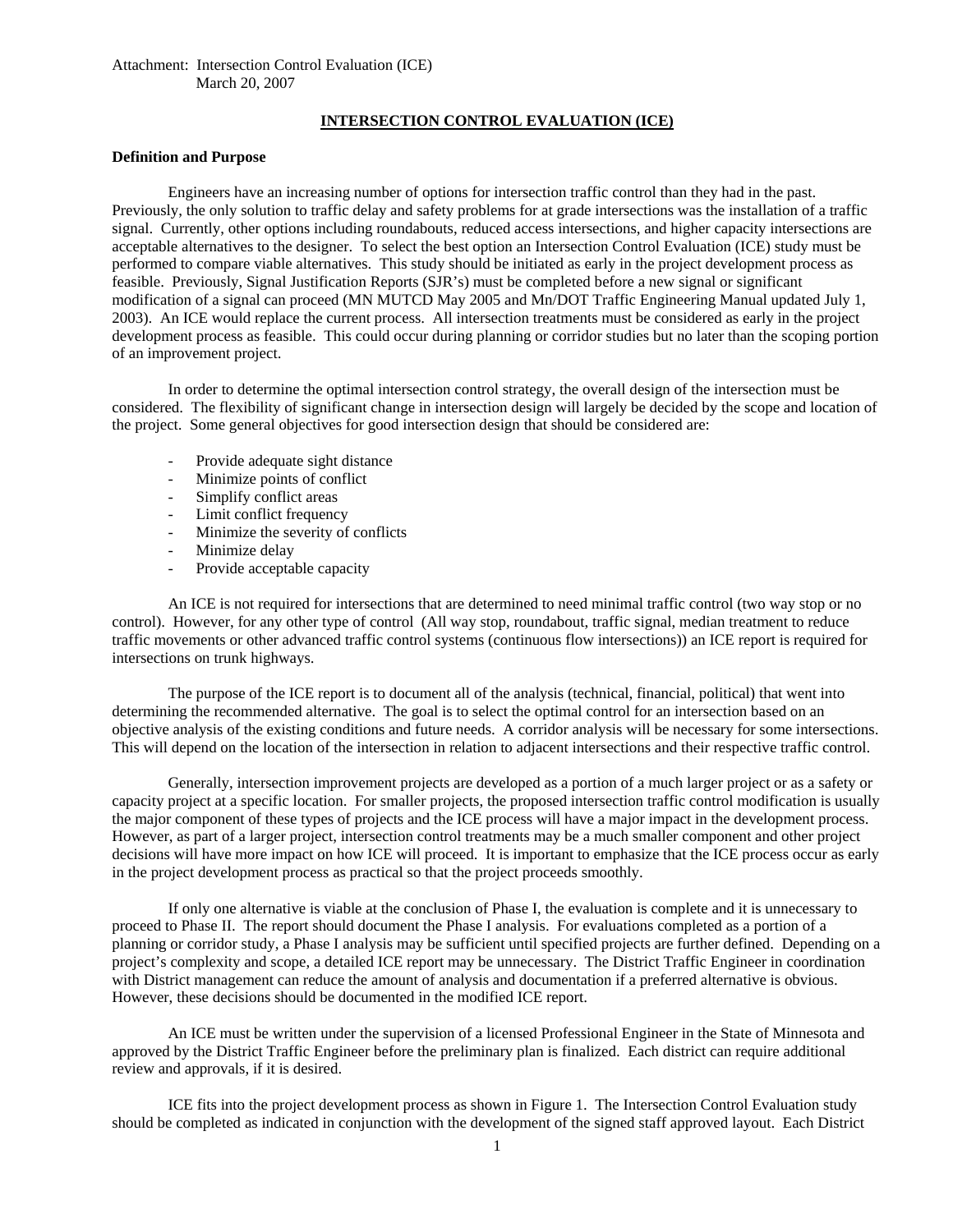## **INTERSECTION CONTROL EVALUATION (ICE)**

## **Definition and Purpose**

Engineers have an increasing number of options for intersection traffic control than they had in the past. Previously, the only solution to traffic delay and safety problems for at grade intersections was the installation of a traffic signal. Currently, other options including roundabouts, reduced access intersections, and higher capacity intersections are acceptable alternatives to the designer. To select the best option an Intersection Control Evaluation (ICE) study must be performed to compare viable alternatives. This study should be initiated as early in the project development process as feasible. Previously, Signal Justification Reports (SJR's) must be completed before a new signal or significant modification of a signal can proceed (MN MUTCD May 2005 and Mn/DOT Traffic Engineering Manual updated July 1, 2003). An ICE would replace the current process. All intersection treatments must be considered as early in the project development process as feasible. This could occur during planning or corridor studies but no later than the scoping portion of an improvement project.

In order to determine the optimal intersection control strategy, the overall design of the intersection must be considered. The flexibility of significant change in intersection design will largely be decided by the scope and location of the project. Some general objectives for good intersection design that should be considered are:

- Provide adequate sight distance
- Minimize points of conflict
- Simplify conflict areas
- Limit conflict frequency
- Minimize the severity of conflicts
- Minimize delay
- Provide acceptable capacity

An ICE is not required for intersections that are determined to need minimal traffic control (two way stop or no control). However, for any other type of control (All way stop, roundabout, traffic signal, median treatment to reduce traffic movements or other advanced traffic control systems (continuous flow intersections)) an ICE report is required for intersections on trunk highways.

The purpose of the ICE report is to document all of the analysis (technical, financial, political) that went into determining the recommended alternative. The goal is to select the optimal control for an intersection based on an objective analysis of the existing conditions and future needs. A corridor analysis will be necessary for some intersections. This will depend on the location of the intersection in relation to adjacent intersections and their respective traffic control.

Generally, intersection improvement projects are developed as a portion of a much larger project or as a safety or capacity project at a specific location. For smaller projects, the proposed intersection traffic control modification is usually the major component of these types of projects and the ICE process will have a major impact in the development process. However, as part of a larger project, intersection control treatments may be a much smaller component and other project decisions will have more impact on how ICE will proceed. It is important to emphasize that the ICE process occur as early in the project development process as practical so that the project proceeds smoothly.

If only one alternative is viable at the conclusion of Phase I, the evaluation is complete and it is unnecessary to proceed to Phase II. The report should document the Phase I analysis. For evaluations completed as a portion of a planning or corridor study, a Phase I analysis may be sufficient until specified projects are further defined. Depending on a project's complexity and scope, a detailed ICE report may be unnecessary. The District Traffic Engineer in coordination with District management can reduce the amount of analysis and documentation if a preferred alternative is obvious. However, these decisions should be documented in the modified ICE report.

An ICE must be written under the supervision of a licensed Professional Engineer in the State of Minnesota and approved by the District Traffic Engineer before the preliminary plan is finalized. Each district can require additional review and approvals, if it is desired.

ICE fits into the project development process as shown in Figure 1. The Intersection Control Evaluation study should be completed as indicated in conjunction with the development of the signed staff approved layout. Each District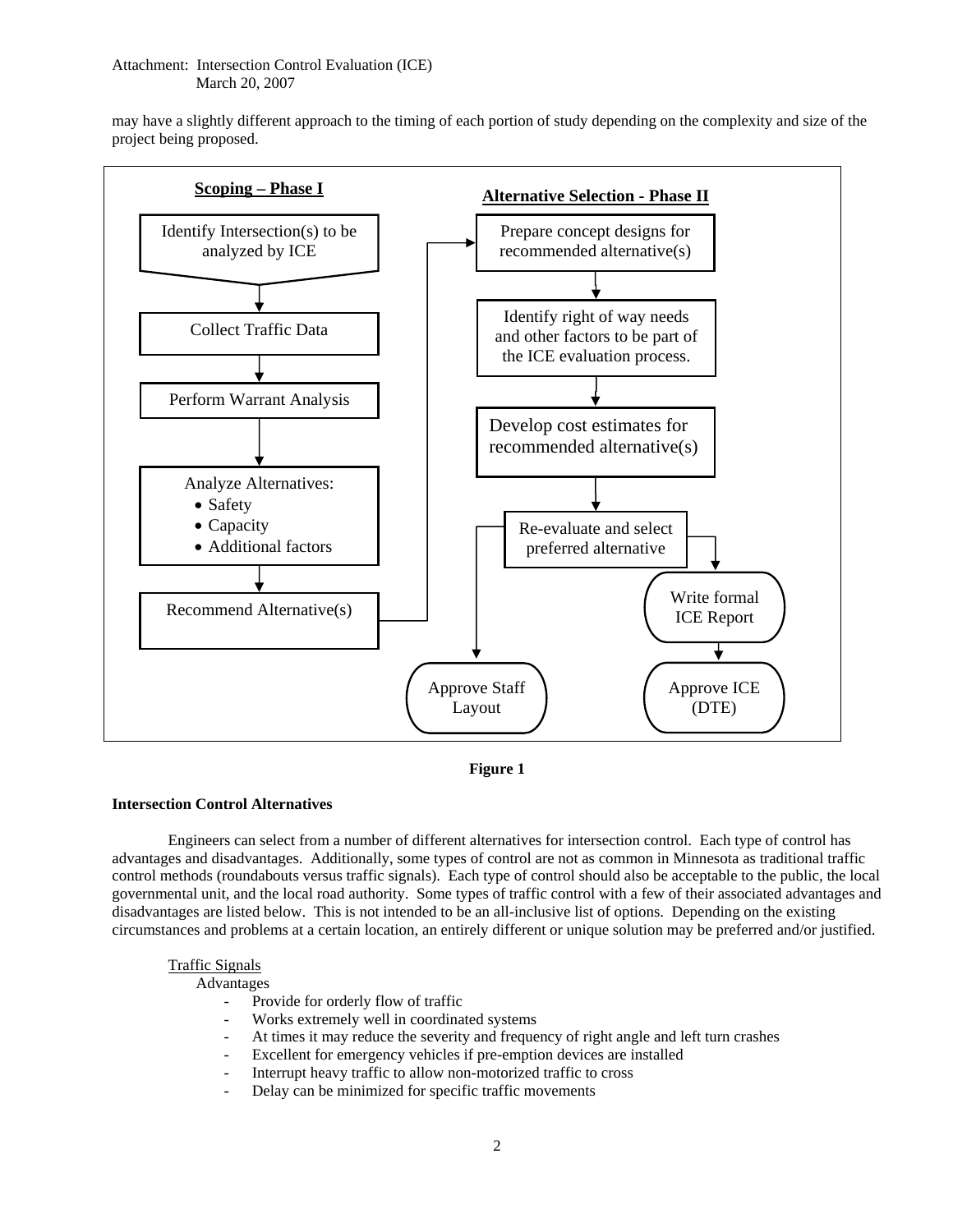may have a slightly different approach to the timing of each portion of study depending on the complexity and size of the project being proposed.



**Figure 1** 

# **Intersection Control Alternatives**

Engineers can select from a number of different alternatives for intersection control. Each type of control has advantages and disadvantages. Additionally, some types of control are not as common in Minnesota as traditional traffic control methods (roundabouts versus traffic signals). Each type of control should also be acceptable to the public, the local governmental unit, and the local road authority. Some types of traffic control with a few of their associated advantages and disadvantages are listed below. This is not intended to be an all-inclusive list of options. Depending on the existing circumstances and problems at a certain location, an entirely different or unique solution may be preferred and/or justified.

## Traffic Signals

Advantages

- Provide for orderly flow of traffic
- Works extremely well in coordinated systems
- At times it may reduce the severity and frequency of right angle and left turn crashes
- Excellent for emergency vehicles if pre-emption devices are installed
- Interrupt heavy traffic to allow non-motorized traffic to cross
- Delay can be minimized for specific traffic movements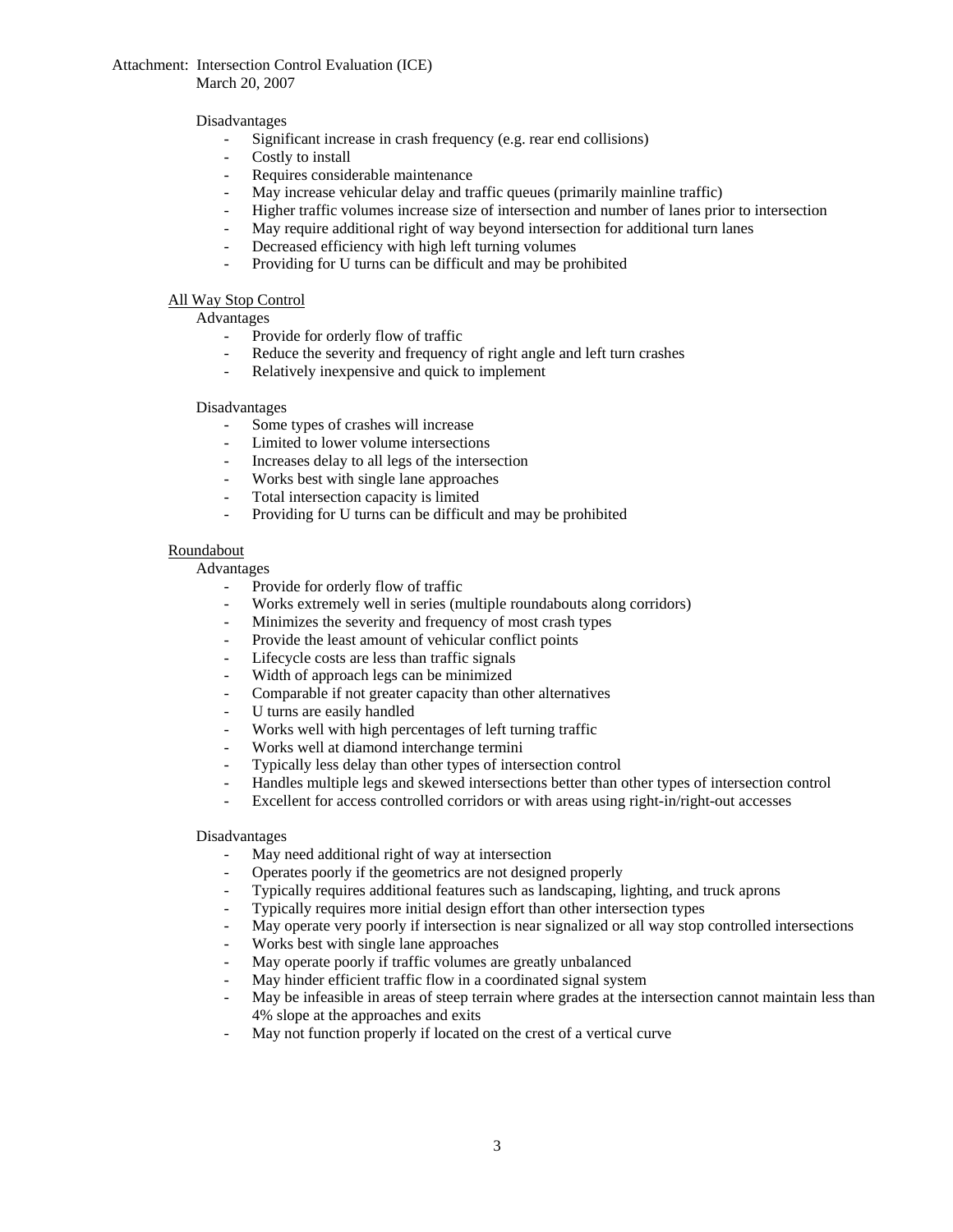March 20, 2007

# Disadvantages

- Significant increase in crash frequency (e.g. rear end collisions)
- Costly to install
- Requires considerable maintenance
- May increase vehicular delay and traffic queues (primarily mainline traffic)
- Higher traffic volumes increase size of intersection and number of lanes prior to intersection
- May require additional right of way beyond intersection for additional turn lanes
- Decreased efficiency with high left turning volumes
- Providing for U turns can be difficult and may be prohibited

# All Way Stop Control

Advantages

- Provide for orderly flow of traffic
- Reduce the severity and frequency of right angle and left turn crashes
- Relatively inexpensive and quick to implement

#### Disadvantages

- Some types of crashes will increase
- Limited to lower volume intersections
- Increases delay to all legs of the intersection
- Works best with single lane approaches
- Total intersection capacity is limited
- Providing for U turns can be difficult and may be prohibited

#### Roundabout

## Advantages

- Provide for orderly flow of traffic
- Works extremely well in series (multiple roundabouts along corridors)
- Minimizes the severity and frequency of most crash types
- Provide the least amount of vehicular conflict points
- Lifecycle costs are less than traffic signals
- Width of approach legs can be minimized
- Comparable if not greater capacity than other alternatives
- U turns are easily handled
- Works well with high percentages of left turning traffic
- Works well at diamond interchange termini
- Typically less delay than other types of intersection control
- Handles multiple legs and skewed intersections better than other types of intersection control
- Excellent for access controlled corridors or with areas using right-in/right-out accesses

#### Disadvantages

- May need additional right of way at intersection
- Operates poorly if the geometrics are not designed properly
- Typically requires additional features such as landscaping, lighting, and truck aprons
- Typically requires more initial design effort than other intersection types
- May operate very poorly if intersection is near signalized or all way stop controlled intersections
- Works best with single lane approaches
- May operate poorly if traffic volumes are greatly unbalanced
- May hinder efficient traffic flow in a coordinated signal system
- May be infeasible in areas of steep terrain where grades at the intersection cannot maintain less than 4% slope at the approaches and exits
- May not function properly if located on the crest of a vertical curve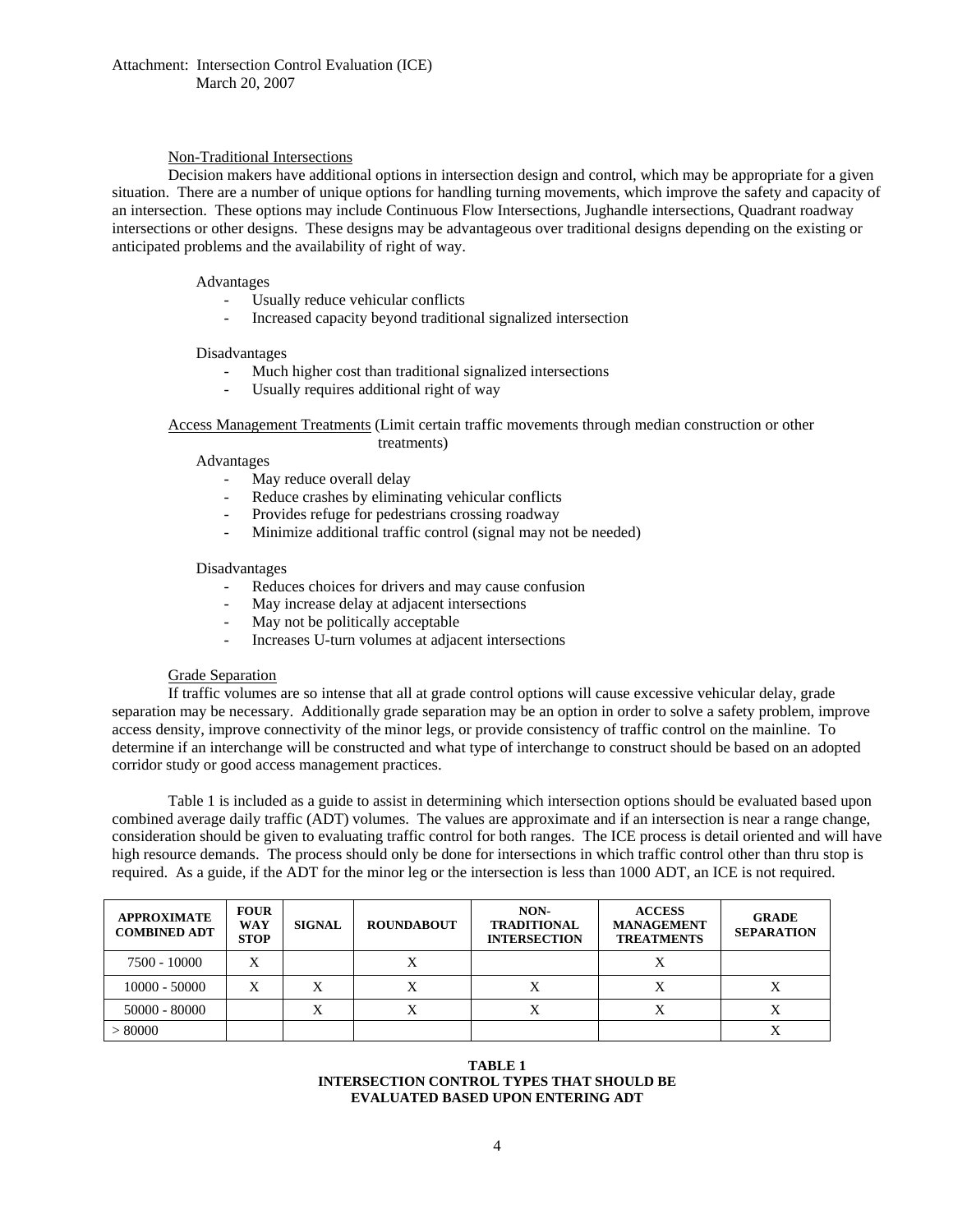# Non-Traditional Intersections

Decision makers have additional options in intersection design and control, which may be appropriate for a given situation. There are a number of unique options for handling turning movements, which improve the safety and capacity of an intersection. These options may include Continuous Flow Intersections, Jughandle intersections, Quadrant roadway intersections or other designs. These designs may be advantageous over traditional designs depending on the existing or anticipated problems and the availability of right of way.

#### Advantages

- Usually reduce vehicular conflicts
- Increased capacity beyond traditional signalized intersection

#### Disadvantages

- Much higher cost than traditional signalized intersections
- Usually requires additional right of way

#### Access Management Treatments (Limit certain traffic movements through median construction or other treatments)

#### Advantages

- May reduce overall delay
- Reduce crashes by eliminating vehicular conflicts
- Provides refuge for pedestrians crossing roadway
- Minimize additional traffic control (signal may not be needed)

#### Disadvantages

- Reduces choices for drivers and may cause confusion
- May increase delay at adjacent intersections
- May not be politically acceptable
- Increases U-turn volumes at adjacent intersections

#### Grade Separation

If traffic volumes are so intense that all at grade control options will cause excessive vehicular delay, grade separation may be necessary. Additionally grade separation may be an option in order to solve a safety problem, improve access density, improve connectivity of the minor legs, or provide consistency of traffic control on the mainline. To determine if an interchange will be constructed and what type of interchange to construct should be based on an adopted corridor study or good access management practices.

Table 1 is included as a guide to assist in determining which intersection options should be evaluated based upon combined average daily traffic (ADT) volumes. The values are approximate and if an intersection is near a range change, consideration should be given to evaluating traffic control for both ranges. The ICE process is detail oriented and will have high resource demands. The process should only be done for intersections in which traffic control other than thru stop is required. As a guide, if the ADT for the minor leg or the intersection is less than 1000 ADT, an ICE is not required.

| <b>APPROXIMATE</b><br><b>COMBINED ADT</b> | <b>FOUR</b><br><b>WAY</b><br><b>STOP</b> | <b>SIGNAL</b> | <b>ROUNDABOUT</b> | NON-<br><b>TRADITIONAL</b><br><b>INTERSECTION</b> | <b>ACCESS</b><br><b>MANAGEMENT</b><br><b>TREATMENTS</b> | <b>GRADE</b><br><b>SEPARATION</b> |
|-------------------------------------------|------------------------------------------|---------------|-------------------|---------------------------------------------------|---------------------------------------------------------|-----------------------------------|
| 7500 - 10000                              | X                                        |               |                   |                                                   |                                                         |                                   |
| $10000 - 50000$                           | X                                        |               |                   | X                                                 |                                                         |                                   |
| $50000 - 80000$                           |                                          |               |                   | X                                                 |                                                         |                                   |
| > 80000                                   |                                          |               |                   |                                                   |                                                         |                                   |

#### **TABLE 1 INTERSECTION CONTROL TYPES THAT SHOULD BE EVALUATED BASED UPON ENTERING ADT**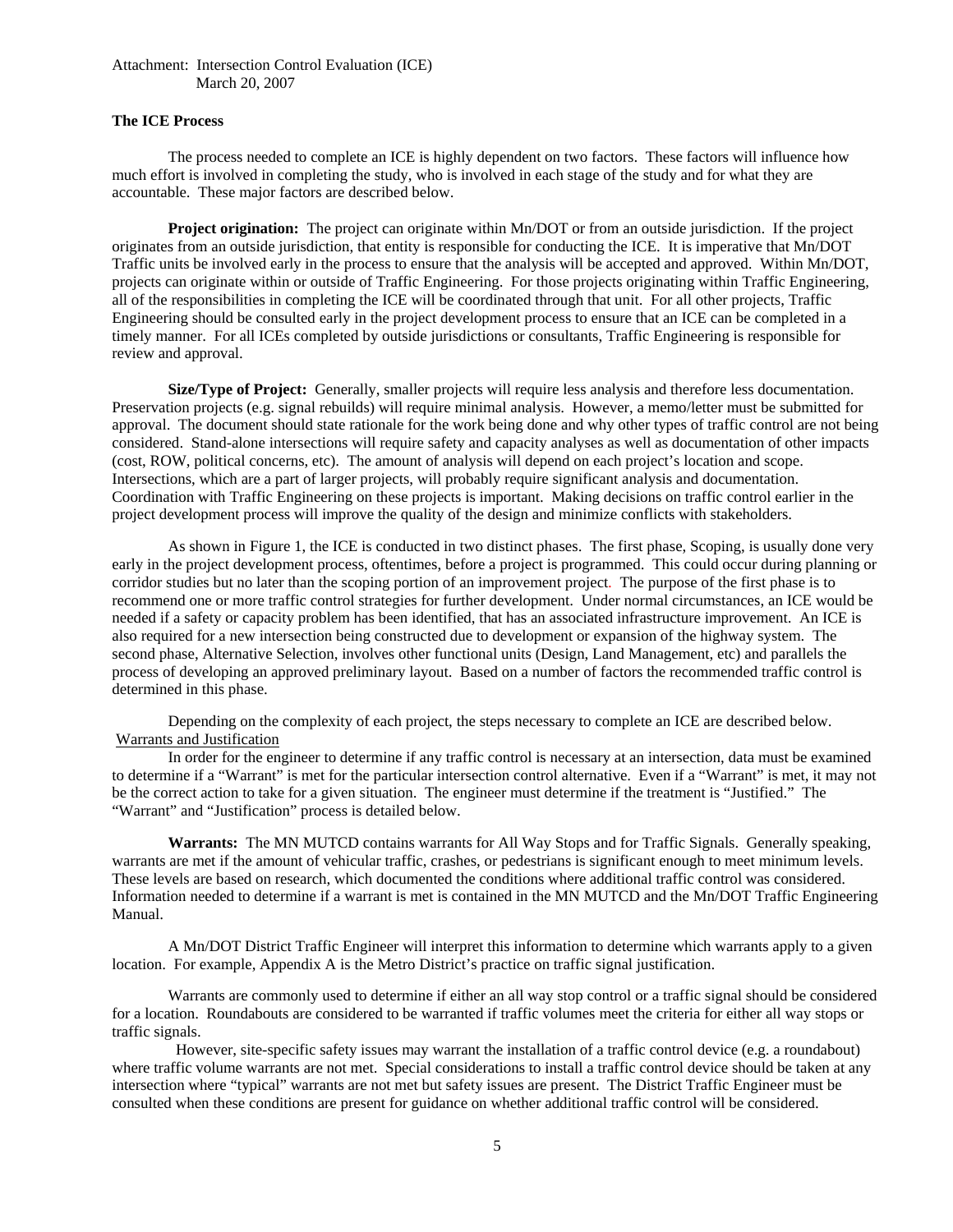# **The ICE Process**

The process needed to complete an ICE is highly dependent on two factors. These factors will influence how much effort is involved in completing the study, who is involved in each stage of the study and for what they are accountable. These major factors are described below.

**Project origination:** The project can originate within Mn/DOT or from an outside jurisdiction. If the project originates from an outside jurisdiction, that entity is responsible for conducting the ICE. It is imperative that Mn/DOT Traffic units be involved early in the process to ensure that the analysis will be accepted and approved. Within Mn/DOT, projects can originate within or outside of Traffic Engineering. For those projects originating within Traffic Engineering, all of the responsibilities in completing the ICE will be coordinated through that unit. For all other projects, Traffic Engineering should be consulted early in the project development process to ensure that an ICE can be completed in a timely manner. For all ICEs completed by outside jurisdictions or consultants, Traffic Engineering is responsible for review and approval.

**Size/Type of Project:** Generally, smaller projects will require less analysis and therefore less documentation. Preservation projects (e.g. signal rebuilds) will require minimal analysis. However, a memo/letter must be submitted for approval. The document should state rationale for the work being done and why other types of traffic control are not being considered. Stand-alone intersections will require safety and capacity analyses as well as documentation of other impacts (cost, ROW, political concerns, etc). The amount of analysis will depend on each project's location and scope. Intersections, which are a part of larger projects, will probably require significant analysis and documentation. Coordination with Traffic Engineering on these projects is important. Making decisions on traffic control earlier in the project development process will improve the quality of the design and minimize conflicts with stakeholders.

As shown in Figure 1, the ICE is conducted in two distinct phases. The first phase, Scoping, is usually done very early in the project development process, oftentimes, before a project is programmed. This could occur during planning or corridor studies but no later than the scoping portion of an improvement project. The purpose of the first phase is to recommend one or more traffic control strategies for further development. Under normal circumstances, an ICE would be needed if a safety or capacity problem has been identified, that has an associated infrastructure improvement. An ICE is also required for a new intersection being constructed due to development or expansion of the highway system. The second phase, Alternative Selection, involves other functional units (Design, Land Management, etc) and parallels the process of developing an approved preliminary layout. Based on a number of factors the recommended traffic control is determined in this phase.

Depending on the complexity of each project, the steps necessary to complete an ICE are described below. Warrants and Justification

In order for the engineer to determine if any traffic control is necessary at an intersection, data must be examined to determine if a "Warrant" is met for the particular intersection control alternative. Even if a "Warrant" is met, it may not be the correct action to take for a given situation. The engineer must determine if the treatment is "Justified." The "Warrant" and "Justification" process is detailed below.

**Warrants:** The MN MUTCD contains warrants for All Way Stops and for Traffic Signals. Generally speaking, warrants are met if the amount of vehicular traffic, crashes, or pedestrians is significant enough to meet minimum levels. These levels are based on research, which documented the conditions where additional traffic control was considered. Information needed to determine if a warrant is met is contained in the MN MUTCD and the Mn/DOT Traffic Engineering Manual.

A Mn/DOT District Traffic Engineer will interpret this information to determine which warrants apply to a given location. For example, Appendix A is the Metro District's practice on traffic signal justification.

Warrants are commonly used to determine if either an all way stop control or a traffic signal should be considered for a location. Roundabouts are considered to be warranted if traffic volumes meet the criteria for either all way stops or traffic signals.

 However, site-specific safety issues may warrant the installation of a traffic control device (e.g. a roundabout) where traffic volume warrants are not met. Special considerations to install a traffic control device should be taken at any intersection where "typical" warrants are not met but safety issues are present. The District Traffic Engineer must be consulted when these conditions are present for guidance on whether additional traffic control will be considered.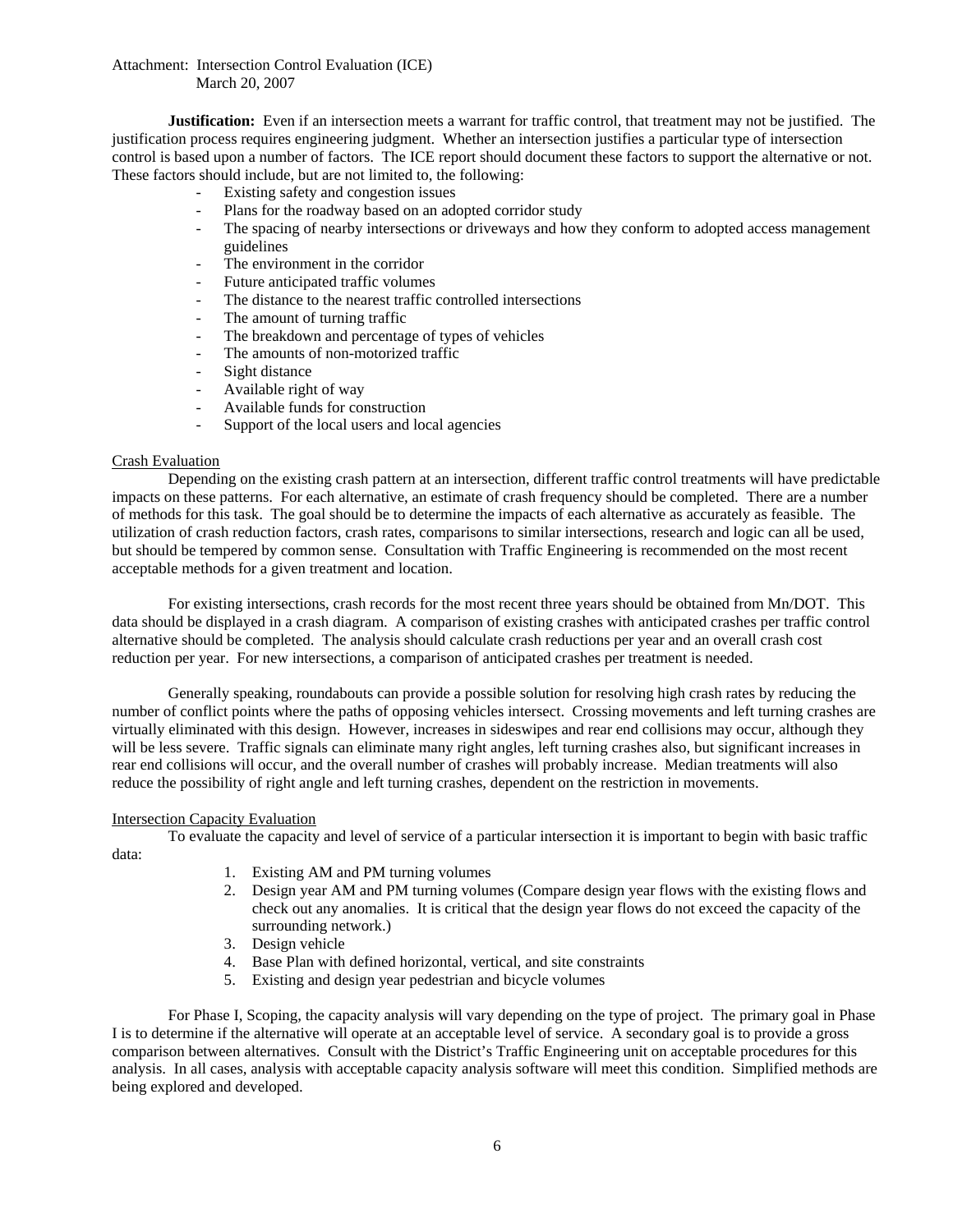March 20, 2007

**Justification:** Even if an intersection meets a warrant for traffic control, that treatment may not be justified. The justification process requires engineering judgment. Whether an intersection justifies a particular type of intersection control is based upon a number of factors. The ICE report should document these factors to support the alternative or not. These factors should include, but are not limited to, the following:

- Existing safety and congestion issues
- Plans for the roadway based on an adopted corridor study
- The spacing of nearby intersections or driveways and how they conform to adopted access management guidelines
- The environment in the corridor
- Future anticipated traffic volumes
- The distance to the nearest traffic controlled intersections
- The amount of turning traffic
- The breakdown and percentage of types of vehicles
- The amounts of non-motorized traffic
- Sight distance
- Available right of way
- Available funds for construction
- Support of the local users and local agencies

# Crash Evaluation

Depending on the existing crash pattern at an intersection, different traffic control treatments will have predictable impacts on these patterns. For each alternative, an estimate of crash frequency should be completed. There are a number of methods for this task. The goal should be to determine the impacts of each alternative as accurately as feasible. The utilization of crash reduction factors, crash rates, comparisons to similar intersections, research and logic can all be used, but should be tempered by common sense. Consultation with Traffic Engineering is recommended on the most recent acceptable methods for a given treatment and location.

For existing intersections, crash records for the most recent three years should be obtained from Mn/DOT. This data should be displayed in a crash diagram. A comparison of existing crashes with anticipated crashes per traffic control alternative should be completed. The analysis should calculate crash reductions per year and an overall crash cost reduction per year. For new intersections, a comparison of anticipated crashes per treatment is needed.

Generally speaking, roundabouts can provide a possible solution for resolving high crash rates by reducing the number of conflict points where the paths of opposing vehicles intersect. Crossing movements and left turning crashes are virtually eliminated with this design. However, increases in sideswipes and rear end collisions may occur, although they will be less severe. Traffic signals can eliminate many right angles, left turning crashes also, but significant increases in rear end collisions will occur, and the overall number of crashes will probably increase. Median treatments will also reduce the possibility of right angle and left turning crashes, dependent on the restriction in movements.

#### Intersection Capacity Evaluation

To evaluate the capacity and level of service of a particular intersection it is important to begin with basic traffic data:

- 1. Existing AM and PM turning volumes
- 2. Design year AM and PM turning volumes (Compare design year flows with the existing flows and check out any anomalies. It is critical that the design year flows do not exceed the capacity of the surrounding network.)
- 3. Design vehicle
- 4. Base Plan with defined horizontal, vertical, and site constraints
- 5. Existing and design year pedestrian and bicycle volumes

For Phase I, Scoping, the capacity analysis will vary depending on the type of project. The primary goal in Phase I is to determine if the alternative will operate at an acceptable level of service. A secondary goal is to provide a gross comparison between alternatives. Consult with the District's Traffic Engineering unit on acceptable procedures for this analysis. In all cases, analysis with acceptable capacity analysis software will meet this condition. Simplified methods are being explored and developed.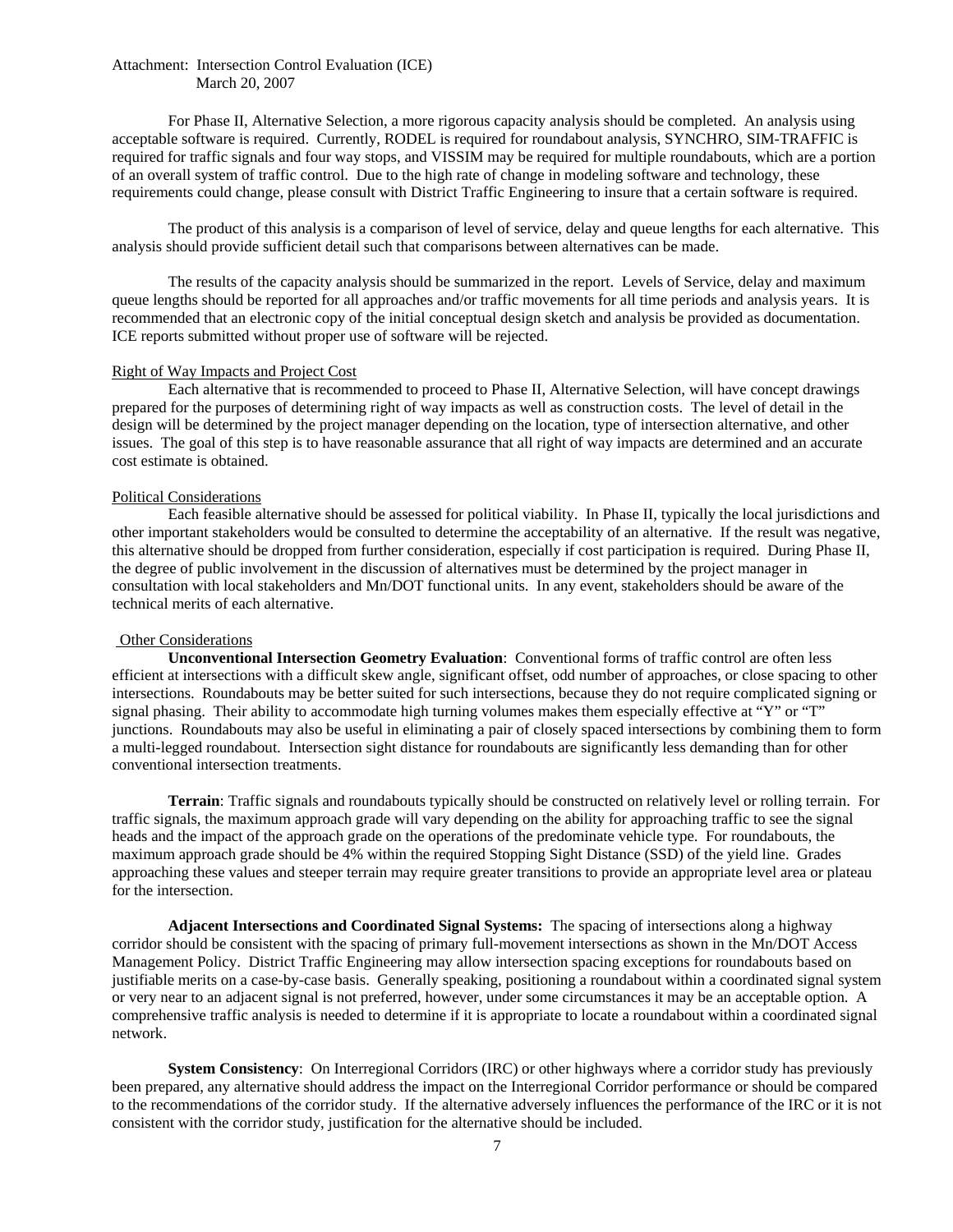For Phase II, Alternative Selection, a more rigorous capacity analysis should be completed. An analysis using acceptable software is required. Currently, RODEL is required for roundabout analysis, SYNCHRO, SIM-TRAFFIC is required for traffic signals and four way stops, and VISSIM may be required for multiple roundabouts, which are a portion of an overall system of traffic control. Due to the high rate of change in modeling software and technology, these requirements could change, please consult with District Traffic Engineering to insure that a certain software is required.

The product of this analysis is a comparison of level of service, delay and queue lengths for each alternative. This analysis should provide sufficient detail such that comparisons between alternatives can be made.

The results of the capacity analysis should be summarized in the report. Levels of Service, delay and maximum queue lengths should be reported for all approaches and/or traffic movements for all time periods and analysis years. It is recommended that an electronic copy of the initial conceptual design sketch and analysis be provided as documentation. ICE reports submitted without proper use of software will be rejected.

#### Right of Way Impacts and Project Cost

Each alternative that is recommended to proceed to Phase II, Alternative Selection, will have concept drawings prepared for the purposes of determining right of way impacts as well as construction costs. The level of detail in the design will be determined by the project manager depending on the location, type of intersection alternative, and other issues. The goal of this step is to have reasonable assurance that all right of way impacts are determined and an accurate cost estimate is obtained.

#### Political Considerations

Each feasible alternative should be assessed for political viability. In Phase II, typically the local jurisdictions and other important stakeholders would be consulted to determine the acceptability of an alternative. If the result was negative, this alternative should be dropped from further consideration, especially if cost participation is required. During Phase II, the degree of public involvement in the discussion of alternatives must be determined by the project manager in consultation with local stakeholders and Mn/DOT functional units. In any event, stakeholders should be aware of the technical merits of each alternative.

#### Other Considerations

**Unconventional Intersection Geometry Evaluation**: Conventional forms of traffic control are often less efficient at intersections with a difficult skew angle, significant offset, odd number of approaches, or close spacing to other intersections. Roundabouts may be better suited for such intersections, because they do not require complicated signing or signal phasing. Their ability to accommodate high turning volumes makes them especially effective at "Y" or "T" junctions. Roundabouts may also be useful in eliminating a pair of closely spaced intersections by combining them to form a multi-legged roundabout. Intersection sight distance for roundabouts are significantly less demanding than for other conventional intersection treatments.

 **Terrain**: Traffic signals and roundabouts typically should be constructed on relatively level or rolling terrain. For traffic signals, the maximum approach grade will vary depending on the ability for approaching traffic to see the signal heads and the impact of the approach grade on the operations of the predominate vehicle type. For roundabouts, the maximum approach grade should be 4% within the required Stopping Sight Distance (SSD) of the yield line. Grades approaching these values and steeper terrain may require greater transitions to provide an appropriate level area or plateau for the intersection.

**Adjacent Intersections and Coordinated Signal Systems:** The spacing of intersections along a highway corridor should be consistent with the spacing of primary full-movement intersections as shown in the Mn/DOT Access Management Policy. District Traffic Engineering may allow intersection spacing exceptions for roundabouts based on justifiable merits on a case-by-case basis. Generally speaking, positioning a roundabout within a coordinated signal system or very near to an adjacent signal is not preferred, however, under some circumstances it may be an acceptable option. A comprehensive traffic analysis is needed to determine if it is appropriate to locate a roundabout within a coordinated signal network.

**System Consistency**: On Interregional Corridors (IRC) or other highways where a corridor study has previously been prepared, any alternative should address the impact on the Interregional Corridor performance or should be compared to the recommendations of the corridor study. If the alternative adversely influences the performance of the IRC or it is not consistent with the corridor study, justification for the alternative should be included.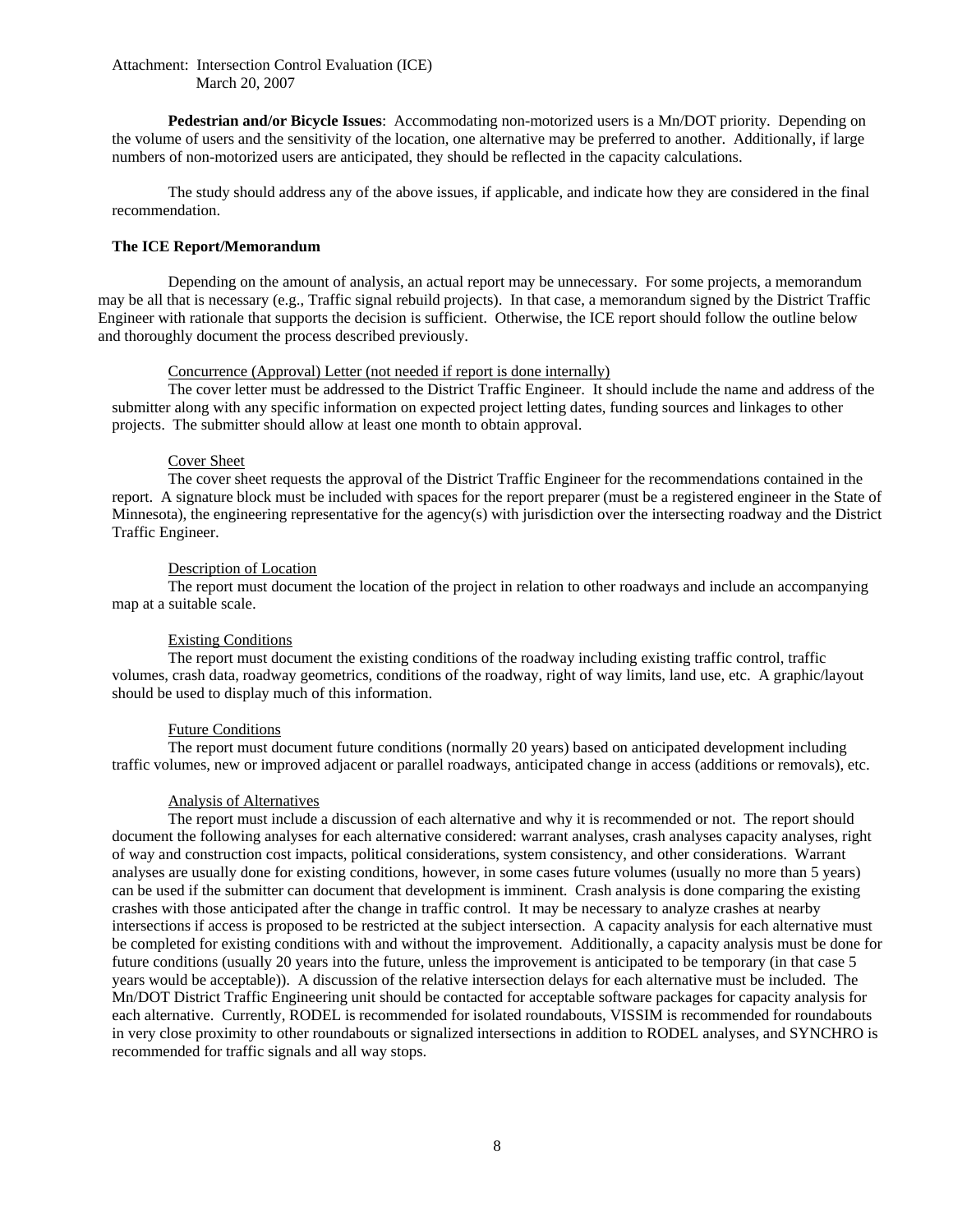**Pedestrian and/or Bicycle Issues**: Accommodating non-motorized users is a Mn/DOT priority. Depending on the volume of users and the sensitivity of the location, one alternative may be preferred to another. Additionally, if large numbers of non-motorized users are anticipated, they should be reflected in the capacity calculations.

The study should address any of the above issues, if applicable, and indicate how they are considered in the final recommendation.

# **The ICE Report/Memorandum**

Depending on the amount of analysis, an actual report may be unnecessary. For some projects, a memorandum may be all that is necessary (e.g., Traffic signal rebuild projects). In that case, a memorandum signed by the District Traffic Engineer with rationale that supports the decision is sufficient. Otherwise, the ICE report should follow the outline below and thoroughly document the process described previously.

#### Concurrence (Approval) Letter (not needed if report is done internally)

The cover letter must be addressed to the District Traffic Engineer. It should include the name and address of the submitter along with any specific information on expected project letting dates, funding sources and linkages to other projects. The submitter should allow at least one month to obtain approval.

#### Cover Sheet

The cover sheet requests the approval of the District Traffic Engineer for the recommendations contained in the report. A signature block must be included with spaces for the report preparer (must be a registered engineer in the State of Minnesota), the engineering representative for the agency(s) with jurisdiction over the intersecting roadway and the District Traffic Engineer.

#### Description of Location

The report must document the location of the project in relation to other roadways and include an accompanying map at a suitable scale.

#### Existing Conditions

The report must document the existing conditions of the roadway including existing traffic control, traffic volumes, crash data, roadway geometrics, conditions of the roadway, right of way limits, land use, etc. A graphic/layout should be used to display much of this information.

#### Future Conditions

The report must document future conditions (normally 20 years) based on anticipated development including traffic volumes, new or improved adjacent or parallel roadways, anticipated change in access (additions or removals), etc.

#### Analysis of Alternatives

The report must include a discussion of each alternative and why it is recommended or not. The report should document the following analyses for each alternative considered: warrant analyses, crash analyses capacity analyses, right of way and construction cost impacts, political considerations, system consistency, and other considerations. Warrant analyses are usually done for existing conditions, however, in some cases future volumes (usually no more than 5 years) can be used if the submitter can document that development is imminent. Crash analysis is done comparing the existing crashes with those anticipated after the change in traffic control. It may be necessary to analyze crashes at nearby intersections if access is proposed to be restricted at the subject intersection. A capacity analysis for each alternative must be completed for existing conditions with and without the improvement. Additionally, a capacity analysis must be done for future conditions (usually 20 years into the future, unless the improvement is anticipated to be temporary (in that case 5 years would be acceptable)). A discussion of the relative intersection delays for each alternative must be included. The Mn/DOT District Traffic Engineering unit should be contacted for acceptable software packages for capacity analysis for each alternative. Currently, RODEL is recommended for isolated roundabouts, VISSIM is recommended for roundabouts in very close proximity to other roundabouts or signalized intersections in addition to RODEL analyses, and SYNCHRO is recommended for traffic signals and all way stops.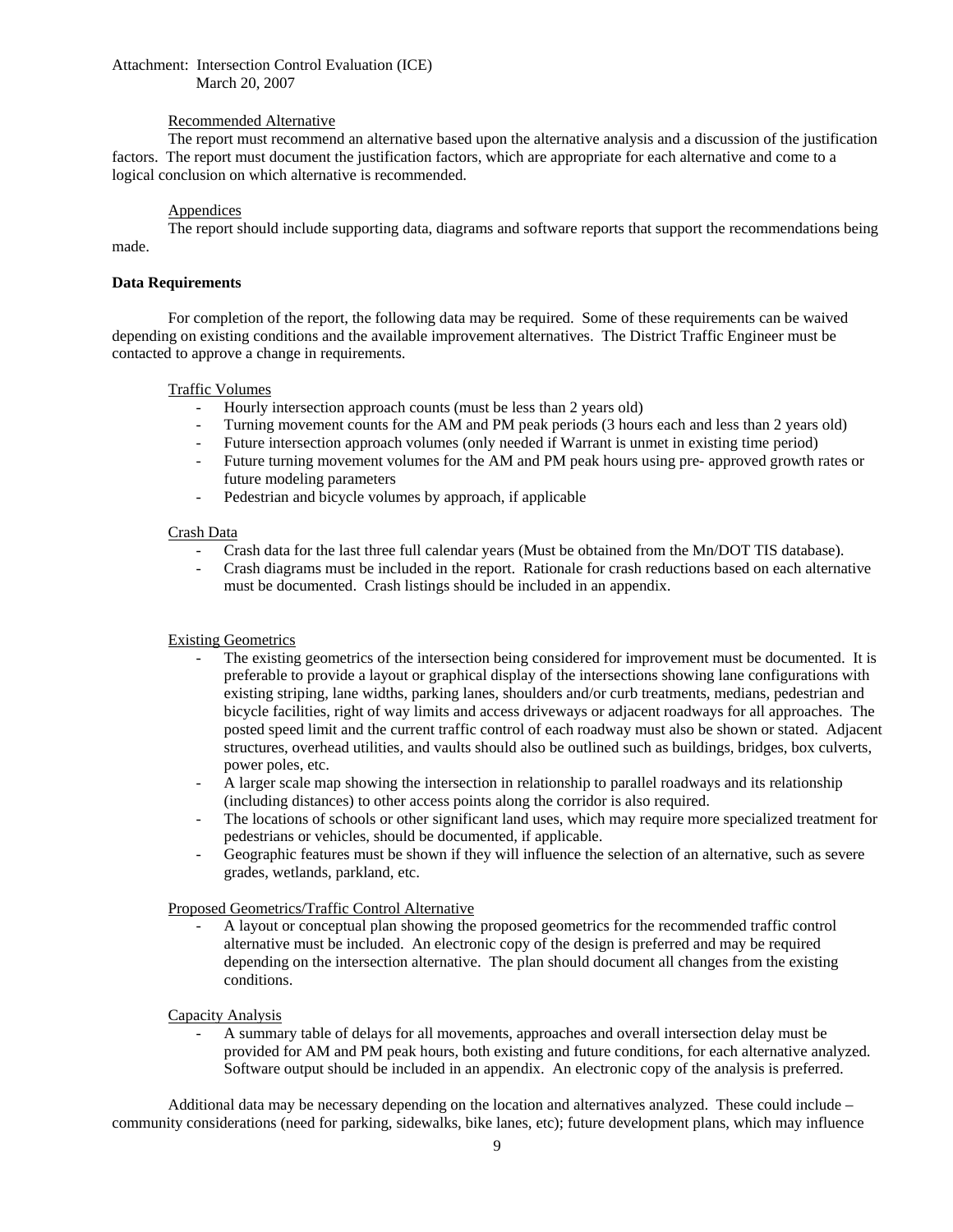# Recommended Alternative

The report must recommend an alternative based upon the alternative analysis and a discussion of the justification factors. The report must document the justification factors, which are appropriate for each alternative and come to a logical conclusion on which alternative is recommended.

## **Appendices**

The report should include supporting data, diagrams and software reports that support the recommendations being made.

## **Data Requirements**

For completion of the report, the following data may be required. Some of these requirements can be waived depending on existing conditions and the available improvement alternatives. The District Traffic Engineer must be contacted to approve a change in requirements.

#### Traffic Volumes

- Hourly intersection approach counts (must be less than 2 years old)
- Turning movement counts for the AM and PM peak periods (3 hours each and less than 2 years old)
- Future intersection approach volumes (only needed if Warrant is unmet in existing time period)
- Future turning movement volumes for the AM and PM peak hours using pre- approved growth rates or future modeling parameters
- Pedestrian and bicycle volumes by approach, if applicable

#### Crash Data

- Crash data for the last three full calendar years (Must be obtained from the Mn/DOT TIS database).
- Crash diagrams must be included in the report. Rationale for crash reductions based on each alternative must be documented. Crash listings should be included in an appendix.

## Existing Geometrics

- The existing geometrics of the intersection being considered for improvement must be documented. It is preferable to provide a layout or graphical display of the intersections showing lane configurations with existing striping, lane widths, parking lanes, shoulders and/or curb treatments, medians, pedestrian and bicycle facilities, right of way limits and access driveways or adjacent roadways for all approaches. The posted speed limit and the current traffic control of each roadway must also be shown or stated. Adjacent structures, overhead utilities, and vaults should also be outlined such as buildings, bridges, box culverts, power poles, etc.
- A larger scale map showing the intersection in relationship to parallel roadways and its relationship (including distances) to other access points along the corridor is also required.
- The locations of schools or other significant land uses, which may require more specialized treatment for pedestrians or vehicles, should be documented, if applicable.
- Geographic features must be shown if they will influence the selection of an alternative, such as severe grades, wetlands, parkland, etc.

#### Proposed Geometrics/Traffic Control Alternative

- A layout or conceptual plan showing the proposed geometrics for the recommended traffic control alternative must be included. An electronic copy of the design is preferred and may be required depending on the intersection alternative. The plan should document all changes from the existing conditions.

#### Capacity Analysis

- A summary table of delays for all movements, approaches and overall intersection delay must be provided for AM and PM peak hours, both existing and future conditions, for each alternative analyzed. Software output should be included in an appendix. An electronic copy of the analysis is preferred.

Additional data may be necessary depending on the location and alternatives analyzed. These could include – community considerations (need for parking, sidewalks, bike lanes, etc); future development plans, which may influence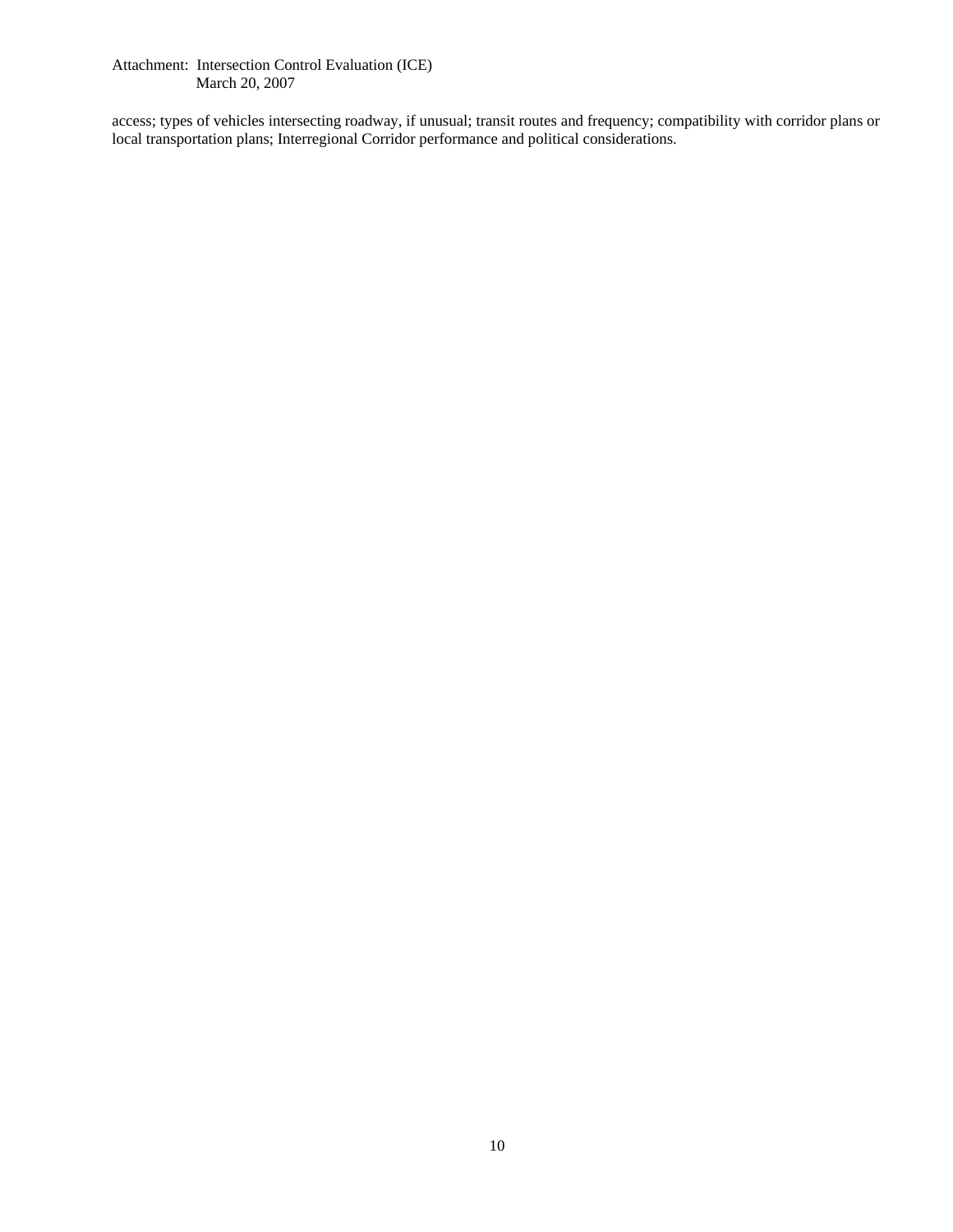access; types of vehicles intersecting roadway, if unusual; transit routes and frequency; compatibility with corridor plans or local transportation plans; Interregional Corridor performance and political considerations.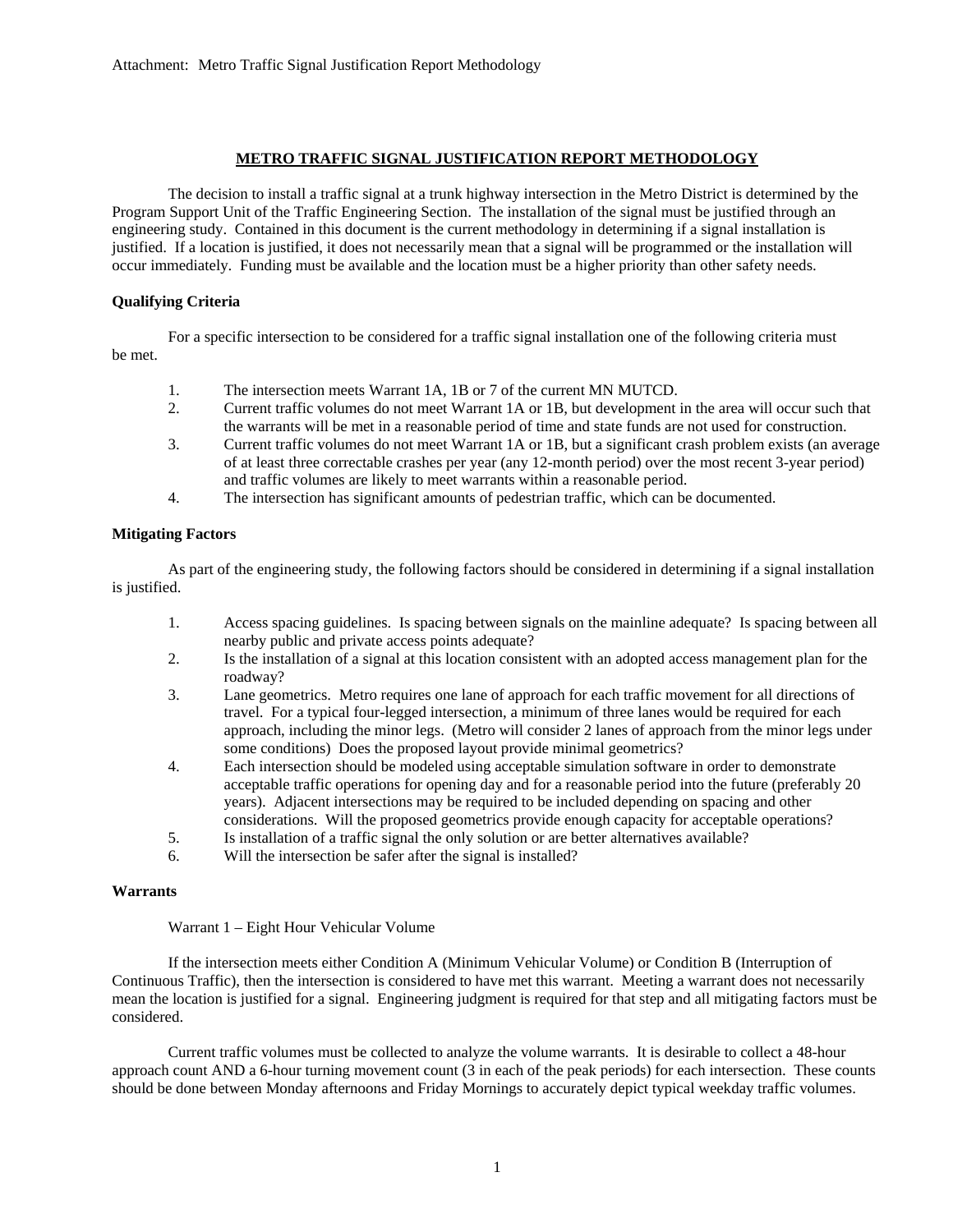# **METRO TRAFFIC SIGNAL JUSTIFICATION REPORT METHODOLOGY**

The decision to install a traffic signal at a trunk highway intersection in the Metro District is determined by the Program Support Unit of the Traffic Engineering Section. The installation of the signal must be justified through an engineering study. Contained in this document is the current methodology in determining if a signal installation is justified. If a location is justified, it does not necessarily mean that a signal will be programmed or the installation will occur immediately. Funding must be available and the location must be a higher priority than other safety needs.

# **Qualifying Criteria**

For a specific intersection to be considered for a traffic signal installation one of the following criteria must be met.

- 1. The intersection meets Warrant 1A, 1B or 7 of the current MN MUTCD.
- 2. Current traffic volumes do not meet Warrant 1A or 1B, but development in the area will occur such that the warrants will be met in a reasonable period of time and state funds are not used for construction.
- 3. Current traffic volumes do not meet Warrant 1A or 1B, but a significant crash problem exists (an average of at least three correctable crashes per year (any 12-month period) over the most recent 3-year period) and traffic volumes are likely to meet warrants within a reasonable period.
- 4. The intersection has significant amounts of pedestrian traffic, which can be documented.

## **Mitigating Factors**

As part of the engineering study, the following factors should be considered in determining if a signal installation is justified.

- 1. Access spacing guidelines. Is spacing between signals on the mainline adequate? Is spacing between all nearby public and private access points adequate?
- 2. Is the installation of a signal at this location consistent with an adopted access management plan for the roadway?
- 3. Lane geometrics. Metro requires one lane of approach for each traffic movement for all directions of travel. For a typical four-legged intersection, a minimum of three lanes would be required for each approach, including the minor legs. (Metro will consider 2 lanes of approach from the minor legs under some conditions) Does the proposed layout provide minimal geometrics?
- 4. Each intersection should be modeled using acceptable simulation software in order to demonstrate acceptable traffic operations for opening day and for a reasonable period into the future (preferably 20 years). Adjacent intersections may be required to be included depending on spacing and other considerations. Will the proposed geometrics provide enough capacity for acceptable operations?
- 5. Is installation of a traffic signal the only solution or are better alternatives available?
- 6. Will the intersection be safer after the signal is installed?

#### **Warrants**

Warrant 1 – Eight Hour Vehicular Volume

If the intersection meets either Condition A (Minimum Vehicular Volume) or Condition B (Interruption of Continuous Traffic), then the intersection is considered to have met this warrant. Meeting a warrant does not necessarily mean the location is justified for a signal. Engineering judgment is required for that step and all mitigating factors must be considered.

Current traffic volumes must be collected to analyze the volume warrants. It is desirable to collect a 48-hour approach count AND a 6-hour turning movement count (3 in each of the peak periods) for each intersection. These counts should be done between Monday afternoons and Friday Mornings to accurately depict typical weekday traffic volumes.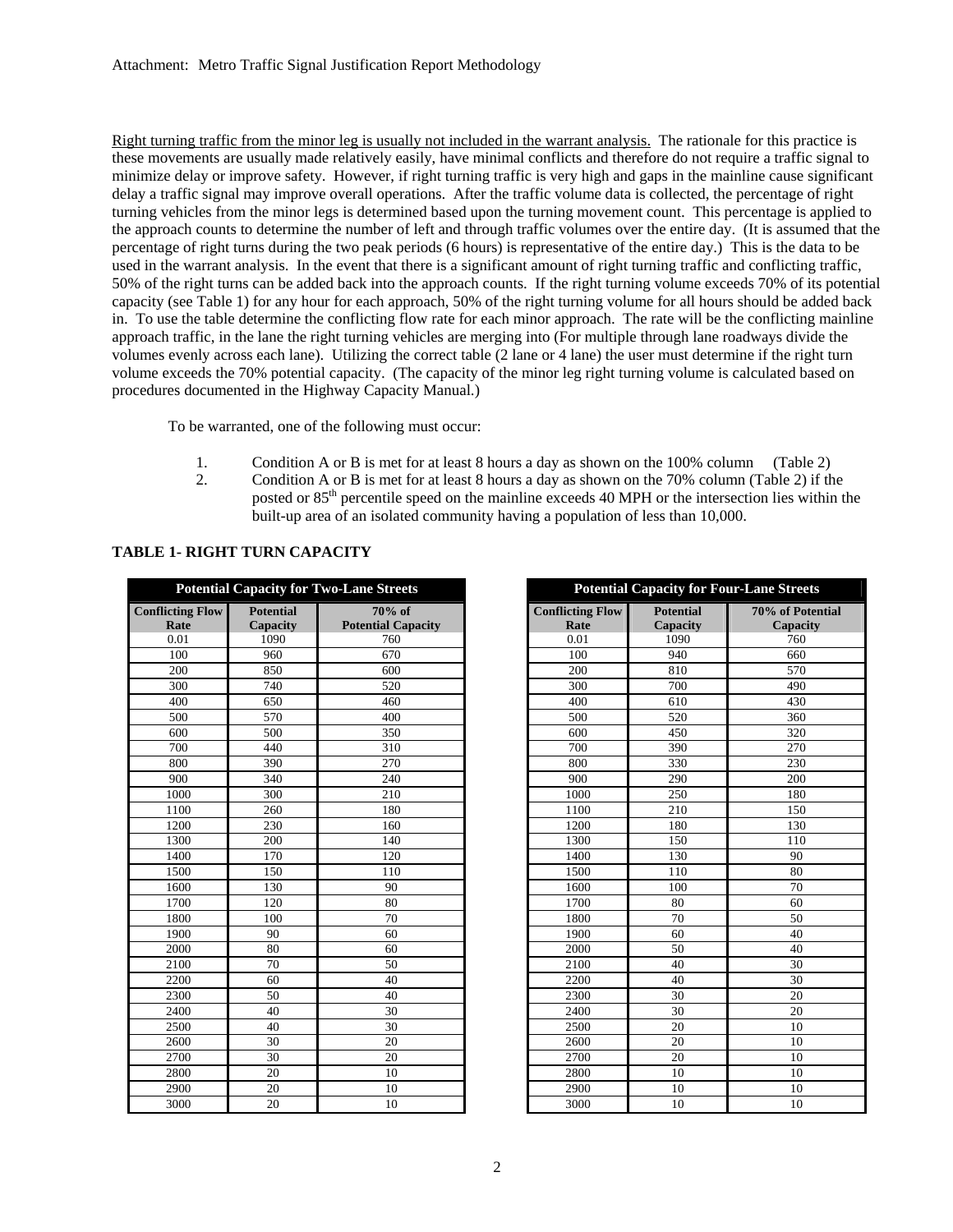Right turning traffic from the minor leg is usually not included in the warrant analysis. The rationale for this practice is these movements are usually made relatively easily, have minimal conflicts and therefore do not require a traffic signal to minimize delay or improve safety. However, if right turning traffic is very high and gaps in the mainline cause significant delay a traffic signal may improve overall operations. After the traffic volume data is collected, the percentage of right turning vehicles from the minor legs is determined based upon the turning movement count. This percentage is applied to the approach counts to determine the number of left and through traffic volumes over the entire day. (It is assumed that the percentage of right turns during the two peak periods (6 hours) is representative of the entire day.) This is the data to be used in the warrant analysis. In the event that there is a significant amount of right turning traffic and conflicting traffic, 50% of the right turns can be added back into the approach counts. If the right turning volume exceeds 70% of its potential capacity (see Table 1) for any hour for each approach, 50% of the right turning volume for all hours should be added back in. To use the table determine the conflicting flow rate for each minor approach. The rate will be the conflicting mainline approach traffic, in the lane the right turning vehicles are merging into (For multiple through lane roadways divide the volumes evenly across each lane). Utilizing the correct table (2 lane or 4 lane) the user must determine if the right turn volume exceeds the 70% potential capacity. (The capacity of the minor leg right turning volume is calculated based on procedures documented in the Highway Capacity Manual.)

To be warranted, one of the following must occur:

- 1. Condition A or B is met for at least 8 hours a day as shown on the 100% column (Table 2)
- 2. Condition A or B is met for at least 8 hours a day as shown on the 70% column (Table 2) if the posted or 85th percentile speed on the mainline exceeds 40 MPH or the intersection lies within the built-up area of an isolated community having a population of less than 10,000.

| <b>Potential Capacity for Two-Lane Streets</b> |                  |                           |  |  |  |  |  |
|------------------------------------------------|------------------|---------------------------|--|--|--|--|--|
| <b>Conflicting Flow</b>                        | <b>Potential</b> | $70%$ of                  |  |  |  |  |  |
| Rate                                           | Capacity         | <b>Potential Capacity</b> |  |  |  |  |  |
| 0.01                                           | 1090             | 760                       |  |  |  |  |  |
| 100                                            | 960              | 670                       |  |  |  |  |  |
| 200                                            | 850              | 600                       |  |  |  |  |  |
| 300                                            | 740              | 520                       |  |  |  |  |  |
| 400                                            | 650              | 460                       |  |  |  |  |  |
| 500                                            | 570              | 400                       |  |  |  |  |  |
| 600                                            | 500              | 350                       |  |  |  |  |  |
| 700                                            | 440              | 310                       |  |  |  |  |  |
| 800                                            | 390              | 270                       |  |  |  |  |  |
| 900                                            | 340              | 240                       |  |  |  |  |  |
| 1000                                           | 300              | 210                       |  |  |  |  |  |
| 1100                                           | 260              | 180                       |  |  |  |  |  |
| 1200                                           | 230              | 160                       |  |  |  |  |  |
| 1300                                           | 200              | 140                       |  |  |  |  |  |
| 1400                                           | 170              | 120                       |  |  |  |  |  |
| 1500                                           | 150              | 110                       |  |  |  |  |  |
| 1600                                           | 130              | 90                        |  |  |  |  |  |
| 1700                                           | 120              | 80                        |  |  |  |  |  |
| 1800                                           | 100              | 70                        |  |  |  |  |  |
| 1900                                           | 90               | 60                        |  |  |  |  |  |
| 2000                                           | 80               | 60                        |  |  |  |  |  |
| 2100                                           | 70               | 50                        |  |  |  |  |  |
| 2200                                           | 60               | 40                        |  |  |  |  |  |
| 2300                                           | 50               | 40                        |  |  |  |  |  |
| 2400                                           | 40               | 30                        |  |  |  |  |  |
| 2500                                           | 40               | 30                        |  |  |  |  |  |
| 2600                                           | 30               | 20                        |  |  |  |  |  |
| 2700                                           | 30               | 20                        |  |  |  |  |  |
| 2800                                           | 20               | 10                        |  |  |  |  |  |
| 2900                                           | 20               | 10                        |  |  |  |  |  |
| 3000                                           | 20               | 10                        |  |  |  |  |  |

|                         |                  | I otential Capacity for Two-Lane Streets |                         | I otential Capacity for Four-Lane Street |                 |
|-------------------------|------------------|------------------------------------------|-------------------------|------------------------------------------|-----------------|
| <b>Conflicting Flow</b> | <b>Potential</b> | $70%$ of                                 | <b>Conflicting Flow</b> | <b>Potential</b>                         | 70% of Po       |
| Rate                    | <b>Capacity</b>  | <b>Potential Capacity</b>                | Rate                    | Capacity                                 | Capaci          |
| 0.01                    | 1090             | 760                                      | 0.01                    | 1090                                     | 760             |
| 100                     | 960              | 670                                      | 100                     | 940                                      | 660             |
| 200                     | 850              | 600                                      | 200                     | 810                                      | 570             |
| 300                     | 740              | 520                                      | 300                     | 700                                      | 490             |
| 400                     | 650              | 460                                      | 400                     | 610                                      | 430             |
| 500                     | 570              | 400                                      | 500                     | 520                                      | 360             |
| 600                     | 500              | 350                                      | 600                     | 450                                      | 320             |
| 700                     | 440              | 310                                      | 700                     | 390                                      | 270             |
| 800                     | 390              | 270                                      | 800                     | 330                                      | 230             |
| 900                     | 340              | 240                                      | 900                     | 290                                      | 200             |
| 1000                    | 300              | 210                                      | 1000                    | 250                                      | 180             |
| 1100                    | 260              | 180                                      | 1100                    | 210                                      | 150             |
| 1200                    | 230              | 160                                      | 1200                    | 180                                      | 130             |
| 1300                    | 200              | 140                                      | 1300                    | 150                                      | 110             |
| 1400                    | 170              | 120                                      | 1400                    | 130                                      | 90              |
| 1500                    | 150              | 110                                      | 1500                    | 110                                      | 80              |
| 1600                    | 130              | 90                                       | 1600                    | 100                                      | 70              |
| 1700                    | 120              | 80                                       | 1700                    | 80                                       | 60              |
| 1800                    | 100              | 70                                       | 1800                    | 70                                       | $\overline{50}$ |
| 1900                    | 90               | 60                                       | 1900                    | 60                                       | 40              |
| 2000                    | 80               | 60                                       | 2000                    | 50                                       | 40              |
| 2100                    | 70               | 50                                       | 2100                    | 40                                       | 30              |
| 2200                    | 60               | 40                                       | 2200                    | 40                                       | 30              |
| 2300                    | $\overline{50}$  | 40                                       | 2300                    | 30                                       | $\overline{20}$ |
| 2400                    | 40               | 30                                       | 2400                    | 30                                       | 20              |
| 2500                    | 40               | 30                                       | 2500                    | 20                                       | 10              |
| 2600                    | 30               | 20                                       | 2600                    | 20                                       | 10              |
| 2700                    | 30               | 20                                       | 2700                    | 20                                       | 10              |
| 2800                    | 20               | 10                                       | 2800                    | 10                                       | 10              |
| 2900                    | 20               | 10                                       | 2900                    | 10                                       | 10              |
| 3000                    | 20               | 10                                       | 3000                    | 10                                       | 10              |

| <b>Potential Capacity for Two-Lane Streets</b> |                                     |                                     |                                 | <b>Potential Capacity for Four-Lane Streets</b> |                              |  |  |  |
|------------------------------------------------|-------------------------------------|-------------------------------------|---------------------------------|-------------------------------------------------|------------------------------|--|--|--|
| ing Flow<br>ate                                | <b>Potential</b><br><b>Capacity</b> | 70% of<br><b>Potential Capacity</b> | <b>Conflicting Flow</b><br>Rate | <b>Potential</b><br>Capacity                    | 70% of Potential<br>Capacity |  |  |  |
| 01                                             | 1090                                | 760                                 | 0.01                            | 1090                                            | 760                          |  |  |  |
| $00\,$                                         | 960                                 | 670                                 | 100                             | 940                                             | 660                          |  |  |  |
| $00\,$                                         | 850                                 | 600                                 | 200                             | 810                                             | 570                          |  |  |  |
| $00\,$                                         | 740                                 | 520                                 | 300                             | 700                                             | 490                          |  |  |  |
| $00\,$                                         | 650                                 | 460                                 | 400                             | 610                                             | 430                          |  |  |  |
| 0 <sub>0</sub>                                 | 570                                 | 400                                 | 500                             | 520                                             | 360                          |  |  |  |
| $\overline{00}$                                | 500                                 | 350                                 | 600                             | 450                                             | 320                          |  |  |  |
| $00\,$                                         | 440                                 | 310                                 | 700                             | 390                                             | 270                          |  |  |  |
| $00\,$                                         | 390                                 | 270                                 | 800                             | 330                                             | 230                          |  |  |  |
| $00\,$                                         | 340                                 | 240                                 | 900                             | 290                                             | 200                          |  |  |  |
| 00 <sub>0</sub>                                | 300                                 | 210                                 | 1000                            | 250                                             | 180                          |  |  |  |
| 00                                             | 260                                 | 180                                 | 1100                            | 210                                             | 150                          |  |  |  |
| 200                                            | 230                                 | 160                                 | 1200                            | 180                                             | 130                          |  |  |  |
| 300                                            | 200                                 | 140                                 | 1300                            | 150                                             | 110                          |  |  |  |
| 100                                            | 170                                 | 120                                 | 1400                            | 130                                             | 90                           |  |  |  |
| 500                                            | 150                                 | 110                                 | 1500                            | 110                                             | 80                           |  |  |  |
| 500                                            | 130                                 | 90                                  | 1600                            | 100                                             | 70                           |  |  |  |
| 700                                            | 120                                 | 80                                  | 1700                            | 80                                              | 60                           |  |  |  |
| $\overline{800}$                               | 100                                 | 70                                  | 1800                            | 70                                              | 50                           |  |  |  |
| 00 <sub>0</sub>                                | 90                                  | 60                                  | 1900                            | 60                                              | 40                           |  |  |  |
| 00 <sub>0</sub>                                | 80                                  | 60                                  | 2000                            | 50                                              | 40                           |  |  |  |
| 00                                             | 70                                  | 50                                  | 2100                            | 40                                              | 30                           |  |  |  |
| 200                                            | 60                                  | 40                                  | 2200                            | 40                                              | 30                           |  |  |  |
| $\overline{800}$                               | 50                                  | 40                                  | 2300                            | 30                                              | 20                           |  |  |  |
| 100                                            | 40                                  | 30                                  | 2400                            | 30                                              | 20                           |  |  |  |
| 500                                            | 40                                  | 30                                  | 2500                            | 20                                              | 10                           |  |  |  |
| 500                                            | 30                                  | 20                                  | 2600                            | 20                                              | 10                           |  |  |  |
| 700                                            | 30                                  | 20                                  | 2700                            | 20                                              | 10                           |  |  |  |
| 300                                            | 20                                  | 10                                  | 2800                            | 10                                              | 10                           |  |  |  |
| 00 <sup>0</sup>                                | 20                                  | 10                                  | 2900                            | 10                                              | 10                           |  |  |  |
| 000                                            | 20                                  | 10                                  | 3000                            | 10                                              | 10                           |  |  |  |

# **TABLE 1- RIGHT TURN CAPACITY**